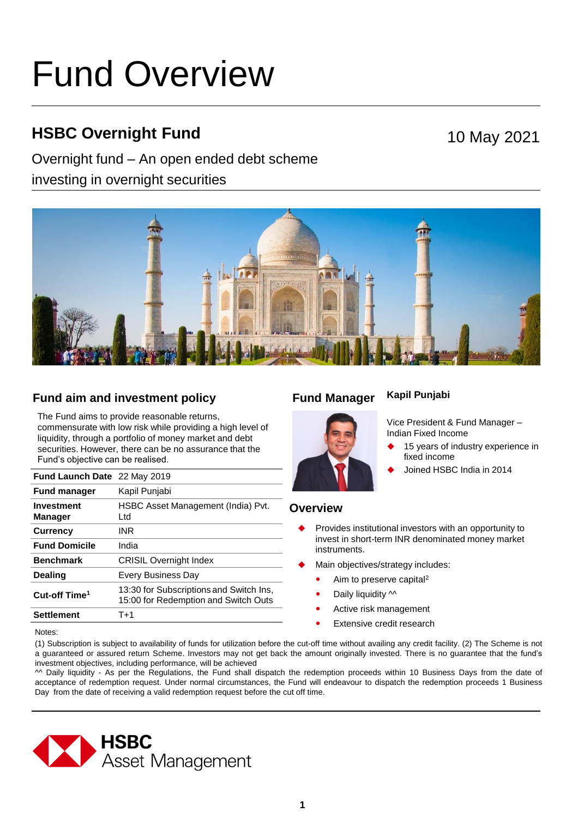# Fund Overview

# **HSBC Overnight Fund**

# Overnight fund – An open ended debt scheme

investing in overnight securities





# **Fund aim and investment policy Fund Manager**

The Fund aims to provide reasonable returns, commensurate with low risk while providing a high level of liquidity, through a portfolio of money market and debt securities. However, there can be no assurance that the Fund's objective can be realised.

| Fund Launch Date 22 May 2019        |                                                                                 |
|-------------------------------------|---------------------------------------------------------------------------------|
| <b>Fund manager</b>                 | Kapil Punjabi                                                                   |
| <b>Investment</b><br><b>Manager</b> | HSBC Asset Management (India) Pvt.<br>Ltd.                                      |
| <b>Currency</b>                     | INR                                                                             |
| <b>Fund Domicile</b>                | India                                                                           |
| <b>Benchmark</b>                    | <b>CRISIL Overnight Index</b>                                                   |
| <b>Dealing</b>                      | Every Business Day                                                              |
| Cut-off Time <sup>1</sup>           | 13:30 for Subscriptions and Switch Ins,<br>15:00 for Redemption and Switch Outs |
| Settlement                          | $T+1$                                                                           |

## **Kapil Punjabi**



Vice President & Fund Manager – Indian Fixed Income

- 15 years of industry experience in fixed income
- Joined HSBC India in 2014

# **Overview**

- Provides institutional investors with an opportunity to invest in short-term INR denominated money market instruments.
- Main objectives/strategy includes:
	- Aim to preserve capital<sup>2</sup>
	- Daily liquidity  $\sim$
	- Active risk management
	- **•** Extensive credit research

Notes:

(1) Subscription is subject to availability of funds for utilization before the cut-off time without availing any credit facility. (2) The Scheme is not a guaranteed or assured return Scheme. Investors may not get back the amount originally invested. There is no guarantee that the fund's investment objectives, including performance, will be achieved

^^ Daily liquidity - As per the Regulations, the Fund shall dispatch the redemption proceeds within 10 Business Days from the date of acceptance of redemption request. Under normal circumstances, the Fund will endeavour to dispatch the redemption proceeds 1 Business Day from the date of receiving a valid redemption request before the cut off time.

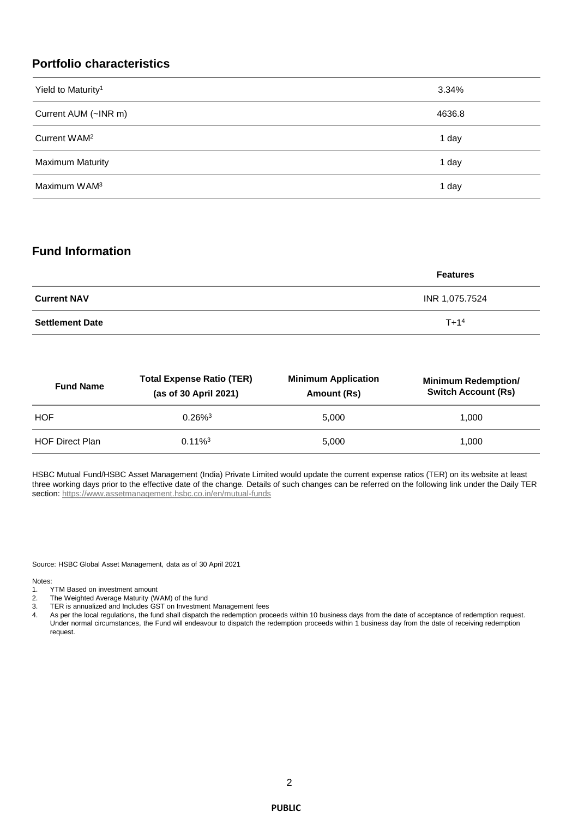# **Portfolio characteristics**

| Yield to Maturity <sup>1</sup> | 3.34%  |
|--------------------------------|--------|
| Current AUM (~INR m)           | 4636.8 |
| Current WAM <sup>2</sup>       | 1 day  |
| <b>Maximum Maturity</b>        | 1 day  |
| Maximum WAM <sup>3</sup>       | 1 day  |

# **Fund Information**

|                        | <b>Features</b> |
|------------------------|-----------------|
| <b>Current NAV</b>     | INR 1,075.7524  |
| <b>Settlement Date</b> | $T+14$          |

| <b>Fund Name</b>       | <b>Total Expense Ratio (TER)</b><br>(as of 30 April 2021) | <b>Minimum Application</b><br>Amount (Rs) | <b>Minimum Redemption/</b><br><b>Switch Account (Rs)</b> |
|------------------------|-----------------------------------------------------------|-------------------------------------------|----------------------------------------------------------|
| <b>HOF</b>             | $0.26\%$ <sup>3</sup>                                     | 5.000                                     | 1.000                                                    |
| <b>HOF Direct Plan</b> | $0.11\%$ <sup>3</sup>                                     | 5.000                                     | 1.000                                                    |

HSBC Mutual Fund/HSBC Asset Management (India) Private Limited would update the current expense ratios (TER) on its website at least three working days prior to the effective date of the change. Details of such changes can be referred on the following link under the Daily TER section:<https://www.assetmanagement.hsbc.co.in/en/mutual-funds>

Source: HSBC Global Asset Management, data as of 30 April 2021

Notes:<br>1.

- TYTM Based on investment amount
- 2. The Weighted Average Maturity (WAM) of the fund
- 3. TER is annualized and Includes GST on Investment Management fees
- 4. As per the local regulations, the fund shall dispatch the redemption proceeds within 10 business days from the date of acceptance of redemption request. Under normal circumstances, the Fund will endeavour to dispatch the redemption proceeds within 1 business day from the date of receiving redemption request.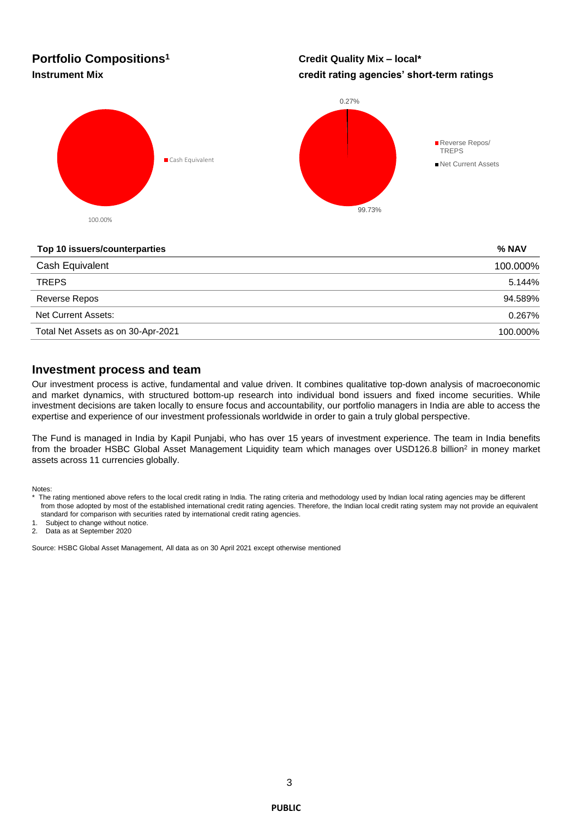# **Portfolio Compositions<sup>1</sup>**

# **Credit Quality Mix – local\* Instrument Mix credit rating agencies' short-term ratings**



#### **Top 10 issuers/counterparties % NAV**

| Cash Equivalent                    | 100.000% |
|------------------------------------|----------|
| <b>TREPS</b>                       | 5.144%   |
| Reverse Repos                      | 94.589%  |
| Net Current Assets:                | 0.267%   |
| Total Net Assets as on 30-Apr-2021 | 100.000% |

## **Investment process and team**

Our investment process is active, fundamental and value driven. It combines qualitative top-down analysis of macroeconomic and market dynamics, with structured bottom-up research into individual bond issuers and fixed income securities. While investment decisions are taken locally to ensure focus and accountability, our portfolio managers in India are able to access the expertise and experience of our investment professionals worldwide in order to gain a truly global perspective.

The Fund is managed in India by Kapil Punjabi, who has over 15 years of investment experience. The team in India benefits from the broader HSBC Global Asset Management Liquidity team which manages over USD126.8 billion<sup>2</sup> in money market assets across 11 currencies globally.

Notes:

1. Subject to change without notice.

2. Data as at September 2020

Source: HSBC Global Asset Management, All data as on 30 April 2021 except otherwise mentioned

The rating mentioned above refers to the local credit rating in India. The rating criteria and methodology used by Indian local rating agencies may be different from those adopted by most of the established international credit rating agencies. Therefore, the Indian local credit rating system may not provide an equivalent standard for comparison with securities rated by international credit rating agencies.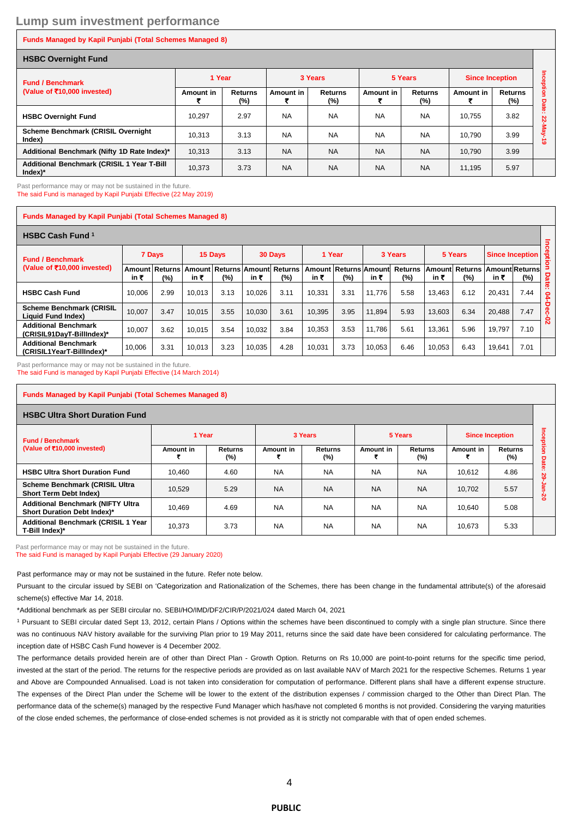# **Lump sum investment performance**

#### **Funds Managed by Kapil Punjabi (Total Schemes Managed 8)**

| <b>HSBC Overnight Fund</b>                              |           |                          |           |                       |           |                       |                        |                       |                        |  |
|---------------------------------------------------------|-----------|--------------------------|-----------|-----------------------|-----------|-----------------------|------------------------|-----------------------|------------------------|--|
| <b>Fund / Benchmark</b><br>(Value of ₹10,000 invested)  | 1 Year    |                          | 3 Years   |                       | 5 Years   |                       | <b>Since Inception</b> |                       | nception               |  |
|                                                         | Amount in | <b>Returns</b><br>$(\%)$ | Amount in | <b>Returns</b><br>(%) | Amount in | <b>Returns</b><br>(%) | Amount in              | <b>Returns</b><br>(%) | Date                   |  |
| <b>HSBC Overnight Fund</b>                              | 10.297    | 2.97                     | <b>NA</b> | <b>NA</b>             | <b>NA</b> | <b>NA</b>             | 10.755                 | 3.82                  | m                      |  |
| Scheme Benchmark (CRISIL Overnight<br>Index)            | 10.313    | 3.13                     | <b>NA</b> | <b>NA</b>             | <b>NA</b> | <b>NA</b>             | 10.790                 | 3.99                  | 22-May<br>$\mathbf{c}$ |  |
| Additional Benchmark (Nifty 1D Rate Index)*             | 10.313    | 3.13                     | <b>NA</b> | <b>NA</b>             | <b>NA</b> | <b>NA</b>             | 10.790                 | 3.99                  |                        |  |
| Additional Benchmark (CRISIL 1 Year T-Bill<br>$Index)*$ | 10.373    | 3.73                     | <b>NA</b> | <b>NA</b>             | <b>NA</b> | <b>NA</b>             | 11.195                 | 5.97                  |                        |  |

Past performance may or may not be sustained in the future.

The said Fund is managed by Kapil Punjabi Effective (22 May 2019)

#### **Funds Managed by Kapil Punjabi (Total Schemes Managed 8)**

| <b>HSBC Cash Fund 1</b>                                              |        |                       |                |                               |        |         |        |                              |        |                          |        |                                      |        |                      |              |
|----------------------------------------------------------------------|--------|-----------------------|----------------|-------------------------------|--------|---------|--------|------------------------------|--------|--------------------------|--------|--------------------------------------|--------|----------------------|--------------|
| <b>Fund / Benchmark</b><br>(Value of $\overline{5}$ 10,000 invested) | 7 Days |                       |                | 15 Days                       |        | 30 Days |        | 1 Year                       |        | 3 Years                  |        | 5 Years                              |        | 용<br>Since Inception |              |
|                                                                      | in ₹   | Amount Returns<br>(%) | Amount<br>in ₹ | Returns Amount Returns<br>(%) | in ₹   | $(\% )$ | in ₹   | Amount Returns Amount<br>(%) | in ₹   | <b>Returns</b><br>$(\%)$ | in ₹   | Amount Returns Amount Returns<br>(%) | in ₹   | (%)                  | Date         |
| <b>HSBC Cash Fund</b>                                                | 10.006 | 2.99                  | 10.013         | 3.13                          | 10,026 | 3.11    | 10.331 | 3.31                         | 11.776 | 5.58                     | 13.463 | 6.12                                 | 20.431 | 7.44                 | 0            |
| <b>Scheme Benchmark (CRISIL</b><br>Liquid Fund Index)                | 10.007 | 3.47                  | 10.015         | 3.55                          | 10.030 | 3.61    | 10.395 | 3.95                         | 11.894 | 5.93                     | 13.603 | 6.34                                 | 20.488 | 7.47                 | c<br>ິ<br>0  |
| <b>Additional Benchmark</b><br>(CRISIL91DavT-BillIndex)*             | 10.007 | 3.62                  | 10.015         | 3.54                          | 10.032 | 3.84    | 10.353 | 3.53                         | 11.786 | 5.61                     | 13.361 | 5.96                                 | 19.797 | 7.10                 | $\mathbf{v}$ |
| <b>Additional Benchmark</b><br>(CRISIL1YearT-BillIndex)*             | 10,006 | 3.31                  | 10.013         | 3.23                          | 10,035 | 4.28    | 10,031 | 3.73                         | 10,053 | 6.46                     | 10,053 | 6.43                                 | 19,641 | 7.01                 |              |

Past performance may or may not be sustained in the future. The said Fund is managed by Kapil Punjabi Effective (14 March 2014)

| Funds Managed by Kapil Punjabi (Total Schemes Managed 8)                |           |                |           |                |           |                       |                        |                       |   |  |  |
|-------------------------------------------------------------------------|-----------|----------------|-----------|----------------|-----------|-----------------------|------------------------|-----------------------|---|--|--|
| <b>HSBC Ultra Short Duration Fund</b>                                   |           |                |           |                |           |                       |                        |                       |   |  |  |
| <b>Fund / Benchmark</b><br>(Value of ₹10,000 invested)                  | 1 Year    |                |           | 3 Years        |           | 5 Years               | <b>Since Inception</b> |                       |   |  |  |
|                                                                         | Amount in | Returns<br>(%) | Amount in | Returns<br>(%) | Amount in | <b>Returns</b><br>(%) | Amount in              | <b>Returns</b><br>(%) | п |  |  |
| <b>HSBC Ultra Short Duration Fund</b>                                   | 10.460    | 4.60           | <b>NA</b> | <b>NA</b>      | <b>NA</b> | <b>NA</b>             | 10.612                 | 4.86                  |   |  |  |
| <b>Scheme Benchmark (CRISIL Ultra</b><br><b>Short Term Debt Index)</b>  | 10,529    | 5.29           | <b>NA</b> | <b>NA</b>      | <b>NA</b> | <b>NA</b>             | 10,702                 | 5.57                  | ၓ |  |  |
| <b>Additional Benchmark (NIFTY Ultra</b><br>Short Duration Debt Index)* | 10.469    | 4.69           | <b>NA</b> | <b>NA</b>      | <b>NA</b> | <b>NA</b>             | 10.640                 | 5.08                  |   |  |  |
| <b>Additional Benchmark (CRISIL 1 Year</b><br>T-Bill Index)*            | 10,373    | 3.73           | <b>NA</b> | <b>NA</b>      | <b>NA</b> | <b>NA</b>             | 10,673                 | 5.33                  |   |  |  |

Past performance may or may not be sustained in the future.

The said Fund is managed by Kapil Punjabi Effective (29 January 2020)

Past performance may or may not be sustained in the future. Refer note below.

Pursuant to the circular issued by SEBI on 'Categorization and Rationalization of the Schemes, there has been change in the fundamental attribute(s) of the aforesaid scheme(s) effective Mar 14, 2018.

\*Additional benchmark as per SEBI circular no. SEBI/HO/IMD/DF2/CIR/P/2021/024 dated March 04, 2021

<sup>1</sup> Pursuant to SEBI circular dated Sept 13, 2012, certain Plans / Options within the schemes have been discontinued to comply with a single plan structure. Since there was no continuous NAV history available for the surviving Plan prior to 19 May 2011, returns since the said date have been considered for calculating performance. The inception date of HSBC Cash Fund however is 4 December 2002.

The performance details provided herein are of other than Direct Plan - Growth Option. Returns on Rs 10,000 are point-to-point returns for the specific time period, invested at the start of the period. The returns for the respective periods are provided as on last available NAV of March 2021 for the respective Schemes. Returns 1 year and Above are Compounded Annualised. Load is not taken into consideration for computation of performance. Different plans shall have a different expense structure. The expenses of the Direct Plan under the Scheme will be lower to the extent of the distribution expenses / commission charged to the Other than Direct Plan. The performance data of the scheme(s) managed by the respective Fund Manager which has/have not completed 6 months is not provided. Considering the varying maturities of the close ended schemes, the performance of close-ended schemes is not provided as it is strictly not comparable with that of open ended schemes.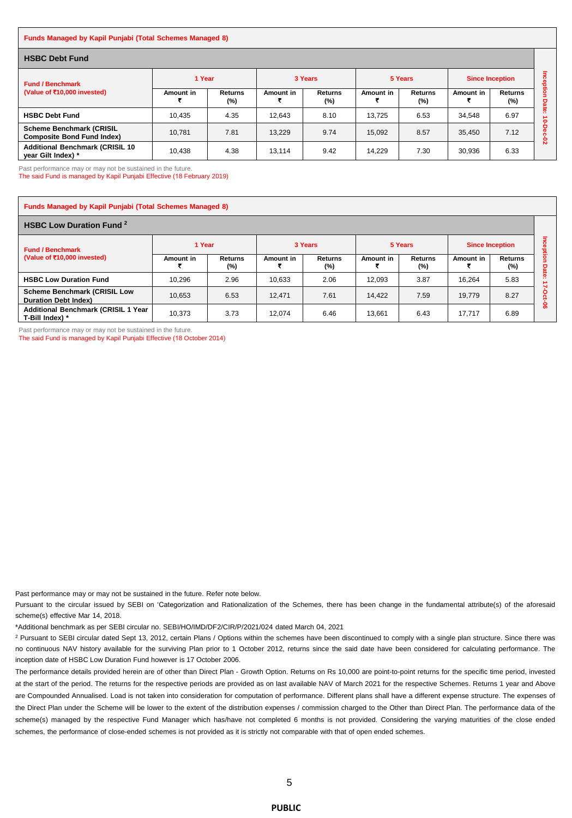#### **Funds Managed by Kapil Punjabi (Total Schemes Managed 8)**

| <b>HSBC Debt Fund</b>                                                |           |                          |           |                          |           |                       |                        |                          |        |
|----------------------------------------------------------------------|-----------|--------------------------|-----------|--------------------------|-----------|-----------------------|------------------------|--------------------------|--------|
| <b>Fund / Benchmark</b><br>(Value of ₹10,000 invested)               | 1 Year    |                          | 3 Years   |                          | 5 Years   |                       | <b>Since Inception</b> |                          |        |
|                                                                      | Amount in | <b>Returns</b><br>$(\%)$ | Amount in | <b>Returns</b><br>$(\%)$ | Amount in | <b>Returns</b><br>(%) | Amount in              | <b>Returns</b><br>$(\%)$ | o<br>ھ |
| <b>HSBC Debt Fund</b>                                                | 10,435    | 4.35                     | 12.643    | 8.10                     | 13.725    | 6.53                  | 34.548                 | 6.97                     | 0      |
| <b>Scheme Benchmark (CRISIL</b><br><b>Composite Bond Fund Index)</b> | 10.781    | 7.81                     | 13.229    | 9.74                     | 15.092    | 8.57                  | 35.450                 | 7.12                     | ន      |
| <b>Additional Benchmark (CRISIL 10)</b><br>year Gilt Index) *        | 10,438    | 4.38                     | 13.114    | 9.42                     | 14.229    | 7.30                  | 30.936                 | 6.33                     |        |

Past performance may or may not be sustained in the future.

The said Fund is managed by Kapil Punjabi Effective (18 February 2019)

| <b>Funds Managed by Kapil Punjabi (Total Schemes Managed 8)</b>    |           |                    |           |                          |           |                       |           |                           |                |  |  |
|--------------------------------------------------------------------|-----------|--------------------|-----------|--------------------------|-----------|-----------------------|-----------|---------------------------|----------------|--|--|
| <b>HSBC Low Duration Fund <sup>2</sup></b>                         |           |                    |           |                          |           |                       |           |                           |                |  |  |
| <b>Fund / Benchmark</b><br>(Value of ₹10,000 invested)             | 1 Year    |                    |           | 3 Years                  |           | 5 Years               |           | <b>Since Inception</b>    |                |  |  |
|                                                                    | Amount in | Returns<br>$(\% )$ | Amount in | <b>Returns</b><br>$(\%)$ | Amount in | <b>Returns</b><br>(%) | Amount in | <b>Returns</b><br>$(\% )$ | jation<br>Date |  |  |
| <b>HSBC Low Duration Fund</b>                                      | 10.296    | 2.96               | 10.633    | 2.06                     | 12.093    | 3.87                  | 16.264    | 5.83                      | n              |  |  |
| <b>Scheme Benchmark (CRISIL Low</b><br><b>Duration Debt Index)</b> | 10.653    | 6.53               | 12.471    | 7.61                     | 14.422    | 7.59                  | 19.779    | 8.27                      | o              |  |  |
| <b>Additional Benchmark (CRISIL 1 Year</b><br>T-Bill Index) *      | 10.373    | 3.73               | 12.074    | 6.46                     | 13.661    | 6.43                  | 17.717    | 6.89                      | ႙ၟ             |  |  |

Past performance may or may not be sustained in the future. The said Fund is managed by Kapil Punjabi Effective (18 October 2014)

Past performance may or may not be sustained in the future. Refer note below.

Pursuant to the circular issued by SEBI on 'Categorization and Rationalization of the Schemes, there has been change in the fundamental attribute(s) of the aforesaid scheme(s) effective Mar 14, 2018.

\*Additional benchmark as per SEBI circular no. SEBI/HO/IMD/DF2/CIR/P/2021/024 dated March 04, 2021

<sup>2</sup> Pursuant to SEBI circular dated Sept 13, 2012, certain Plans / Options within the schemes have been discontinued to comply with a single plan structure. Since there was no continuous NAV history available for the surviving Plan prior to 1 October 2012, returns since the said date have been considered for calculating performance. The inception date of HSBC Low Duration Fund however is 17 October 2006.

The performance details provided herein are of other than Direct Plan - Growth Option. Returns on Rs 10,000 are point-to-point returns for the specific time period, invested at the start of the period. The returns for the respective periods are provided as on last available NAV of March 2021 for the respective Schemes. Returns 1 year and Above are Compounded Annualised. Load is not taken into consideration for computation of performance. Different plans shall have a different expense structure. The expenses of the Direct Plan under the Scheme will be lower to the extent of the distribution expenses / commission charged to the Other than Direct Plan. The performance data of the scheme(s) managed by the respective Fund Manager which has/have not completed 6 months is not provided. Considering the varying maturities of the close ended schemes, the performance of close-ended schemes is not provided as it is strictly not comparable with that of open ended schemes.

#### **PUBLIC**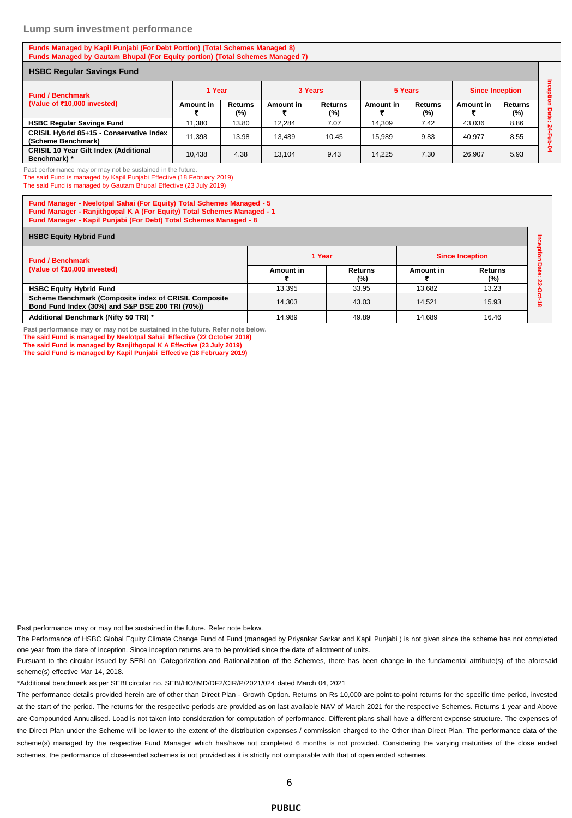#### **Lump sum investment performance**

#### **Funds Managed by Kapil Punjabi (For Debt Portion) (Total Schemes Managed 8) Funds Managed by Gautam Bhupal (For Equity portion) (Total Schemes Managed 7)**

| <b>HSBC Regular Savings Fund</b>                               |                  |                          |           |                          |           |                          |                        |                       |  |
|----------------------------------------------------------------|------------------|--------------------------|-----------|--------------------------|-----------|--------------------------|------------------------|-----------------------|--|
| <b>Fund / Benchmark</b><br>(Value of ₹10,000 invested)         | 1 Year           |                          | 3 Years   |                          | 5 Years   |                          | <b>Since Inception</b> |                       |  |
|                                                                | <b>Amount in</b> | <b>Returns</b><br>$(\%)$ | Amount in | <b>Returns</b><br>$(\%)$ | Amount in | <b>Returns</b><br>$(\%)$ | Amount in              | <b>Returns</b><br>(%) |  |
| <b>HSBC Regular Savings Fund</b>                               | 11.380           | 13.80                    | 12.284    | 7.07                     | 14.309    | 7.42                     | 43,036                 | 8.86                  |  |
| CRISIL Hybrid 85+15 - Conservative Index<br>(Scheme Benchmark) | 11.398           | 13.98                    | 13.489    | 10.45                    | 15.989    | 9.83                     | 40.977                 | 8.55                  |  |
| <b>CRISIL 10 Year Gilt Index (Additional</b><br>Benchmark) *   | 10.438           | 4.38                     | 13.104    | 9.43                     | 14.225    | 7.30                     | 26.907                 | 5.93                  |  |

Past performance may or may not be sustained in the future.

The said Fund is managed by Kapil Punjabi Effective (18 February 2019)

The said Fund is managed by Gautam Bhupal Effective (23 July 2019)

**Fund Manager - Neelotpal Sahai (For Equity) Total Schemes Managed - 5 Fund Manager - Ranjithgopal K A (For Equity) Total Schemes Managed - 1 Fund Manager - Kapil Punjabi (For Debt) Total Schemes Managed - 8**

| <b>HSBC Equity Hybrid Fund</b>                                                                            |           |                |                        |                |             |  |  |  |  |
|-----------------------------------------------------------------------------------------------------------|-----------|----------------|------------------------|----------------|-------------|--|--|--|--|
| <b>Fund / Benchmark</b>                                                                                   | 1 Year    |                | <b>Since Inception</b> |                |             |  |  |  |  |
| (Value of $\overline{5}$ 10,000 invested)                                                                 | Amount in | Returns<br>(%) | Amount in              | Returns<br>(%) | $\sim$<br>N |  |  |  |  |
| <b>HSBC Equity Hybrid Fund</b>                                                                            | 13.395    | 33.95          | 13.682                 | 13.23          |             |  |  |  |  |
| Scheme Benchmark (Composite index of CRISIL Composite<br>Bond Fund Index (30%) and S&P BSE 200 TRI (70%)) | 14.303    | 43.03          | 14.521                 | 15.93          | $\infty$    |  |  |  |  |
| Additional Benchmark (Nifty 50 TRI) *                                                                     | 14.989    | 49.89          | 14.689                 | 16.46          |             |  |  |  |  |

**Past performance may or may not be sustained in the future. Refer note below. The said Fund is managed by Neelotpal Sahai Effective (22 October 2018) The said Fund is managed by Ranjithgopal K A Effective (23 July 2019)**

**The said Fund is managed by Kapil Punjabi Effective (18 February 2019)**

Past performance may or may not be sustained in the future. Refer note below.

The Performance of HSBC Global Equity Climate Change Fund of Fund (managed by Priyankar Sarkar and Kapil Punjabi ) is not given since the scheme has not completed one year from the date of inception. Since inception returns are to be provided since the date of allotment of units.

Pursuant to the circular issued by SEBI on 'Categorization and Rationalization of the Schemes, there has been change in the fundamental attribute(s) of the aforesaid scheme(s) effective Mar 14, 2018.

\*Additional benchmark as per SEBI circular no. SEBI/HO/IMD/DF2/CIR/P/2021/024 dated March 04, 2021

The performance details provided herein are of other than Direct Plan - Growth Option. Returns on Rs 10,000 are point-to-point returns for the specific time period, invested at the start of the period. The returns for the respective periods are provided as on last available NAV of March 2021 for the respective Schemes. Returns 1 year and Above are Compounded Annualised. Load is not taken into consideration for computation of performance. Different plans shall have a different expense structure. The expenses of the Direct Plan under the Scheme will be lower to the extent of the distribution expenses / commission charged to the Other than Direct Plan. The performance data of the scheme(s) managed by the respective Fund Manager which has/have not completed 6 months is not provided. Considering the varying maturities of the close ended schemes, the performance of close-ended schemes is not provided as it is strictly not comparable with that of open ended schemes.

#### **PUBLIC**